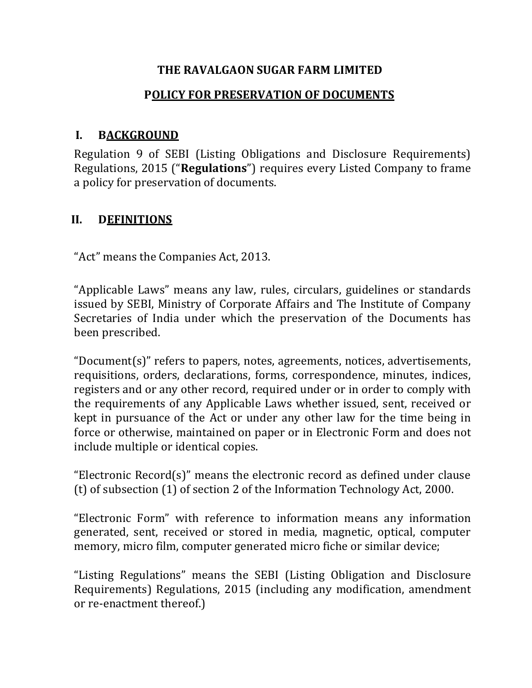### **THE RAVALGAON SUGAR FARM LIMITED**

### **P OLICY FOR PRESERVATION OF DOCUMENTS**

### **I. BACKGROUND**

Regulation 9 of SEBI (Listing Obligations and Disclosure Requirements) Regulations, 2015 ("**Regulations**") requires every Listed Company to frame a policy for preservation of documents.

### **II. DEFINITIONS**

"Act" means the Companies Act, 2013.

"Applicable Laws" means any law, rules, circulars, guidelines or standards issued by SEBI, Ministry of Corporate Affairs and The Institute of Company Secretaries of India under which the preservation of the Documents has been prescribed.

"Document(s)" refers to papers, notes, agreements, notices, advertisements, requisitions, orders, declarations, forms, correspondence, minutes, indices, registers and or any other record, required under or in order to comply with the requirements of any Applicable Laws whether issued, sent, received or kept in pursuance of the Act or under any other law for the time being in force or otherwise, maintained on paper or in Electronic Form and does not include multiple or identical copies.

"Electronic Record(s)" means the electronic record as defined under clause (t) of subsection (1) of section 2 of the Information Technology Act, 2000.

"Electronic Form" with reference to information means any information generated, sent, received or stored in media, magnetic, optical, computer memory, micro film, computer generated micro fiche or similar device;

"Listing Regulations" means the SEBI (Listing Obligation and Disclosure Requirements) Regulations, 2015 (including any modification, amendment or re-enactment thereof.)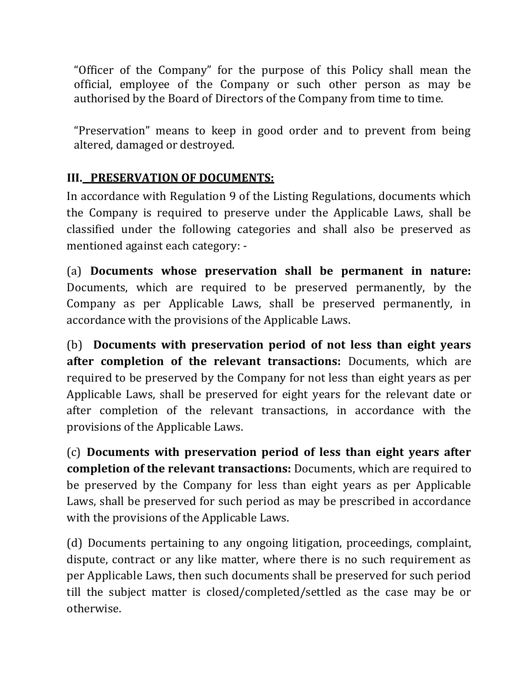"Officer of the Company" for the purpose of this Policy shall mean the official, employee of the Company or such other person as may be authorised by the Board of Directors of the Company from time to time.

"Preservation" means to keep in good order and to prevent from being altered, damaged or destroyed.

# **III. PRESERVATION OF DOCUMENTS:**

In accordance with Regulation 9 of the Listing Regulations, documents which the Company is required to preserve under the Applicable Laws, shall be classified under the following categories and shall also be preserved as mentioned against each category: -

(a) **Documents whose preservation shall be permanent in nature:**  Documents, which are required to be preserved permanently, by the Company as per Applicable Laws, shall be preserved permanently, in accordance with the provisions of the Applicable Laws.

(b) **Documents with preservation period of not less than eight years after completion of the relevant transactions:** Documents, which are required to be preserved by the Company for not less than eight years as per Applicable Laws, shall be preserved for eight years for the relevant date or after completion of the relevant transactions, in accordance with the provisions of the Applicable Laws.

(c) **Documents with preservation period of less than eight years after completion of the relevant transactions:** Documents, which are required to be preserved by the Company for less than eight years as per Applicable Laws, shall be preserved for such period as may be prescribed in accordance with the provisions of the Applicable Laws.

(d) Documents pertaining to any ongoing litigation, proceedings, complaint, dispute, contract or any like matter, where there is no such requirement as per Applicable Laws, then such documents shall be preserved for such period till the subject matter is closed/completed/settled as the case may be or otherwise.